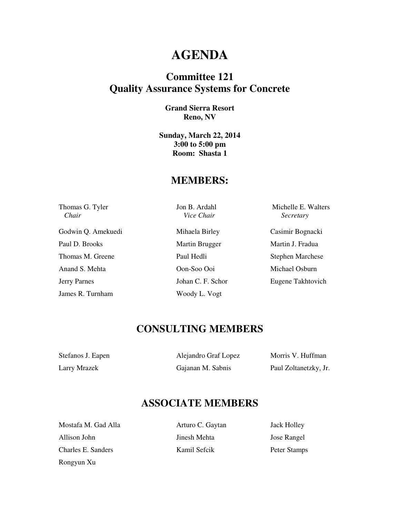# **AGENDA**

## **Committee 121 Quality Assurance Systems for Concrete**

#### **Grand Sierra Resort Reno, NV**

**Sunday, March 22, 2014 3:00 to 5:00 pm Room: Shasta 1** 

### **MEMBERS:**

 *Chair Vice Chair Secretary* 

Godwin Q. Amekuedi Mihaela Birley Casimir Bognacki Paul D. Brooks Martin Brugger Martin J. Fradua Thomas M. Greene Paul Hedli Stephen Marchese Anand S. Mehta Oon-Soo Ooi Michael Osburn Jerry Parnes Johan C. F. Schor Eugene Takhtovich

James R. Turnham Woody L. Vogt

Thomas G. Tyler Jon B. Ardahl Michelle E. Walters

## **CONSULTING MEMBERS**

| Stefanos J. Eapen | Alejandro Graf Lopez | Morris V. Huffman     |
|-------------------|----------------------|-----------------------|
| Larry Mrazek      | Gajanan M. Sabnis    | Paul Zoltanetzky, Jr. |

## **ASSOCIATE MEMBERS**

Mostafa M. Gad Alla **Arturo C. Gaytan** Jack Holley Allison John Jose Rangel Jose Rangel Charles E. Sanders Kamil Sefcik Peter Stamps Rongyun Xu